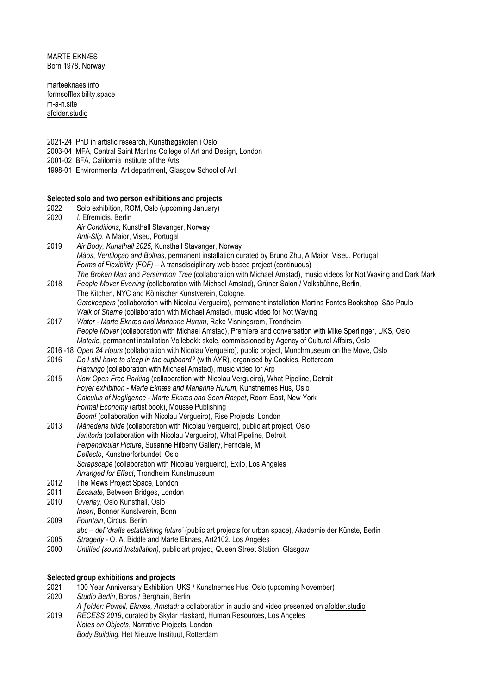MARTE EKNÆS Born 1978, Norway

marteeknaes.info formsofflexibility.space m-a-n.site afolder.studio

- 2021-24 PhD in artistic research, Kunsthøgskolen i Oslo
- 2003-04 MFA, Central Saint Martins College of Art and Design, London
- 2001-02 BFA, California Institute of the Arts
- 1998-01 Environmental Art department, Glasgow School of Art

#### **Selected solo and two person exhibitions and projects**

- 2022 Solo exhibition, ROM, Oslo (upcoming January) 2020 *!*, Efremidis, Berlin *Air Conditions*, Kunsthall Stavanger, Norway *Anti-Slip*, A Maior, Viseu, Portugal
- 2019 *Air Body, Kunsthall 2025*, Kunsthall Stavanger, Norway *Mãos*, *Ventiloçao and Bolhas,* permanent installation curated by Bruno Zhu, A Maior, Viseu, Portugal *Forms of Flexibility (FOF) –* A transdisciplinary web based project (continuous) *The Broken Man* and *Persimmon Tree* (collaboration with Michael Amstad), music videos for Not Waving and Dark Mark
- 2018 *People Mover Evening* (collaboration with Michael Amstad), Grüner Salon / Volksbühne, Berlin, The Kitchen, NYC and Kölnischer Kunstverein, Cologne. *Gatekeepers* (collaboration with Nicolau Vergueiro), permanent installation Martins Fontes Bookshop, São Paulo *Walk of Shame* (collaboration with Michael Amstad), music video for Not Waving
- 2017 *Water - Marte Eknæs and Marianne Hurum*, Rake Visningsrom, Trondheim *People Mover* (collaboration with Michael Amstad), Premiere and conversation with Mike Sperlinger, UKS, Oslo *Materie*, permanent installation Vollebekk skole, commissioned by Agency of Cultural Affairs, Oslo
- 2016 -18 *Open 24 Hours* (collaboration with Nicolau Vergueiro), public project, Munchmuseum on the Move, Oslo
- 2016 *Do I still have to sleep in the cupboard?* (with ÅYR), organised by Cookies, Rotterdam
- *Flamingo* (collaboration with Michael Amstad), music video for Arp
- 2015 *Now Open Free Parking* (collaboration with Nicolau Vergueiro), What Pipeline, Detroit *Foyer exhibition - Marte Eknæs and Marianne Hurum*, Kunstnernes Hus, Oslo *Calculus of Negligence - Marte Eknæs and Sean Raspet*, Room East, New York *Formal Economy* (artist book), Mousse Publishing *Boom!* (collaboration with Nicolau Vergueiro), Rise Projects, London
- 2013 *Månedens bilde* (collaboration with Nicolau Vergueiro), public art project, Oslo *Janitoria* (collaboration with Nicolau Vergueiro), What Pipeline, Detroit *Perpendicular Picture*, Susanne Hilberry Gallery, Ferndale, MI *Deflecto*, Kunstnerforbundet, Oslo *Scrapscape* (collaboration with Nicolau Vergueiro), Exilo, Los Angeles *Arranged for Effect*, Trondheim Kunstmuseum
- 2012 The Mews Project Space, London<br>2011 Escalate, Between Bridges, Londo
- 2011 *Escalate*, Between Bridges, London
- 2010 *Overlay*, Oslo Kunsthall, Oslo
- *Insert*, Bonner Kunstverein, Bonn
- 2009 *Fountain*, Circus, Berlin
- *abc – def 'drafts establishing future'* (public art projects for urban space), Akademie der Künste, Berlin
- 2005 *Stragedy* O. A. Biddle and Marte Eknæs, Art2102, Los Angeles
- 2000 *Untitled (sound Installation)*, public art project, Queen Street Station, Glasgow

### **Selected group exhibitions and projects**

- 2021 100 Year Anniversary Exhibition, UKS / Kunstnernes Hus, Oslo (upcoming November)
- 2020 *Studio Berlin*, Boros / Berghain, Berlin
- *A ƒolder: Powell, Eknæs, Amstad:* a collaboration in audio and video presented on afolder.studio
- 2019 *RECESS 2019*, curated by Skylar Haskard, Human Resources, Los Angeles *Notes on Objects*, Narrative Projects, London *Body Building*, Het Nieuwe Instituut, Rotterdam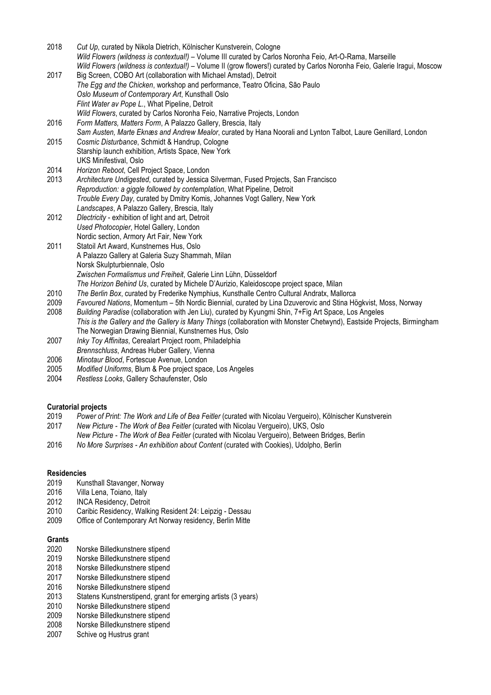2018 *Cut Up*, curated by Nikola Dietrich, Kölnischer Kunstverein, Cologne *Wild Flowers (wildness is contextual!)* – Volume III curated by Carlos Noronha Feio, Art-O-Rama, Marseille *Wild Flowers (wildness is contextual!)* – Volume II (grow flowers!) curated by Carlos Noronha Feio, Galerie Iragui, Moscow 2017 Big Screen, COBO Art (collaboration with Michael Amstad), Detroit

- *The Egg and the Chicken*, workshop and performance, Teatro Oficina, São Paulo *Oslo Museum of Contemporary Art*, Kunsthall Oslo *Flint Water av Pope L*., What Pipeline, Detroit *Wild Flowers*, curated by Carlos Noronha Feio, Narrative Projects, London 2016 *Form Matters, Matters Form*, A Palazzo Gallery, Brescia, Italy
- *Sam Austen, Marte Eknæs and Andrew Mealor*, curated by Hana Noorali and Lynton Talbot, Laure Genillard, London 2015 *Cosmic Disturbance*, Schmidt & Handrup, Cologne
- Starship launch exhibition, Artists Space, New York UKS Minifestival, Oslo
- 2014 *Horizon Reboot*, Cell Project Space, London
- 2013 *Architecture Undigested*, curated by Jessica Silverman, Fused Projects, San Francisco *Reproduction: a giggle followed by contemplation*, What Pipeline, Detroit *Trouble Every Day*, curated by Dmitry Komis, Johannes Vogt Gallery, New York *Landscapes*, A Palazzo Gallery, Brescia, Italy
- 2012 *Dlectricity* exhibition of light and art, Detroit *Used Photocopier*, Hotel Gallery, London Nordic section, Armory Art Fair, New York
- 2011 Statoil Art Award, Kunstnernes Hus, Oslo A Palazzo Gallery at Galeria Suzy Shammah, Milan Norsk Skulpturbiennale, Oslo *Zwischen Formalismus und Freiheit*, Galerie Linn Lühn, Düsseldorf
	- *The Horizon Behind Us*, curated by Michele D'Aurizio, Kaleidoscope project space, Milan
- 2010 *The Berlin Box*, curated by Frederike Nymphius, Kunsthalle Centro Cultural Andratx, Mallorca
- 2009 *Favoured Nations*, Momentum 5th Nordic Biennial, curated by Lina Dzuverovic and Stina Högkvist, Moss, Norway
- 2008 *Building Paradise* (collaboration with Jen Liu), curated by Kyungmi Shin, 7+Fig Art Space, Los Angeles
- *This is the Gallery and the Gallery is Many Things* (collaboration with Monster Chetwynd), Eastside Projects, Birmingham The Norwegian Drawing Biennial, Kunstnernes Hus, Oslo
- 2007 *Inky Toy Affinitas*, Cerealart Project room, Philadelphia
- *Brennschluss*, Andreas Huber Gallery, Vienna
- 2006 *Minotaur Blood*, Fortescue Avenue, London
- 2005 *Modified Uniforms*, Blum & Poe project space, Los Angeles
- 2004 *Restless Looks*, Gallery Schaufenster, Oslo

## **Curatorial projects**

- 2019 *Power of Print: The Work and Life of Bea Feitler* (curated with Nicolau Vergueiro), Kölnischer Kunstverein
- 2017 *New Picture - The Work of Bea Feitler* (curated with Nicolau Vergueiro), UKS, Oslo
- *New Picture - The Work of Bea Feitler* (curated with Nicolau Vergueiro), Between Bridges, Berlin
- 2016 *No More Surprises - An exhibition about Content* (curated with Cookies), Udolpho, Berlin

### **Residencies**

- 2019 Kunsthall Stavanger, Norway<br>2016 Villa Lena, Toiano, Italy
- 2016 Villa Lena, Toiano, Italy<br>2012 INCA Residency, Detroit
- 2012 INCA Residency, Detroit<br>2010 Caribic Residency, Walki
- Caribic Residency, Walking Resident 24: Leipzig Dessau
- 2009 Office of Contemporary Art Norway residency, Berlin Mitte

### **Grants**

- 2020 Norske Billedkunstnere stipend
- 2019 Norske Billedkunstnere stipend
- 2018 Norske Billedkunstnere stipend
- 2017 Norske Billedkunstnere stipend
- 2016 Norske Billedkunstnere stipend
- 2013 Statens Kunstnerstipend, grant for emerging artists (3 years)
- 2010 Norske Billedkunstnere stipend
- 2009 Norske Billedkunstnere stipend
- 2008 Norske Billedkunstnere stipend
- 2007 Schive og Hustrus grant